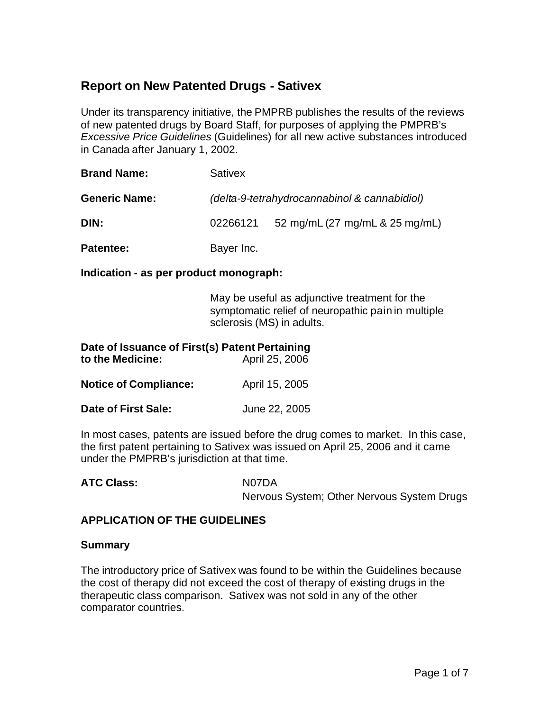# **Report on New Patented Drugs - Sativex**

Under its transparency initiative, the PMPRB publishes the results of the reviews of new patented drugs by Board Staff, for purposes of applying the PMPRB's *Excessive Price Guidelines* (Guidelines) for all new active substances introduced in Canada after January 1, 2002.

| <b>Brand Name:</b>   | <b>Sativex</b>                               |                                |  |
|----------------------|----------------------------------------------|--------------------------------|--|
| <b>Generic Name:</b> | (delta-9-tetrahydrocannabinol & cannabidiol) |                                |  |
| DIN:                 | 02266121                                     | 52 mg/mL (27 mg/mL & 25 mg/mL) |  |
| Patentee:            | Bayer Inc.                                   |                                |  |

**Indication - as per product monograph:**

May be useful as adjunctive treatment for the symptomatic relief of neuropathic pain in multiple sclerosis (MS) in adults.

| Date of Issuance of First(s) Patent Pertaining<br>to the Medicine: | April 25, 2006 |  |  |
|--------------------------------------------------------------------|----------------|--|--|
| <b>Notice of Compliance:</b>                                       | April 15, 2005 |  |  |
| Date of First Sale:                                                | June 22, 2005  |  |  |

In most cases, patents are issued before the drug comes to market. In this case, the first patent pertaining to Sativex was issued on April 25, 2006 and it came under the PMPRB's jurisdiction at that time.

ATC Class: N07DA

Nervous System; Other Nervous System Drugs

#### **APPLICATION OF THE GUIDELINES**

#### **Summary**

The introductory price of Sativex was found to be within the Guidelines because the cost of therapy did not exceed the cost of therapy of existing drugs in the therapeutic class comparison. Sativex was not sold in any of the other comparator countries.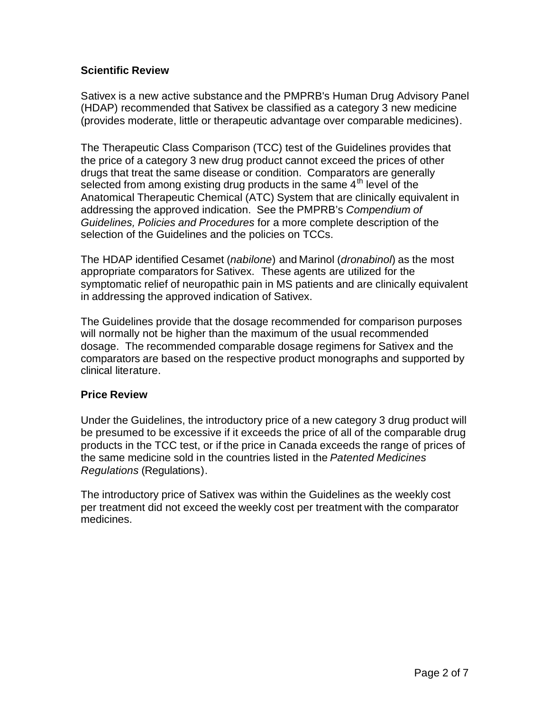#### **Scientific Review**

Sativex is a new active substance and the PMPRB's Human Drug Advisory Panel (HDAP) recommended that Sativex be classified as a category 3 new medicine (provides moderate, little or therapeutic advantage over comparable medicines).

The Therapeutic Class Comparison (TCC) test of the Guidelines provides that the price of a category 3 new drug product cannot exceed the prices of other drugs that treat the same disease or condition. Comparators are generally selected from among existing drug products in the same  $4<sup>th</sup>$  level of the Anatomical Therapeutic Chemical (ATC) System that are clinically equivalent in addressing the approved indication. See the PMPRB's *Compendium of Guidelines, Policies and Procedures* for a more complete description of the selection of the Guidelines and the policies on TCCs.

The HDAP identified Cesamet (*nabilone*) and Marinol (*dronabinol*) as the most appropriate comparators for Sativex. These agents are utilized for the symptomatic relief of neuropathic pain in MS patients and are clinically equivalent in addressing the approved indication of Sativex.

The Guidelines provide that the dosage recommended for comparison purposes will normally not be higher than the maximum of the usual recommended dosage. The recommended comparable dosage regimens for Sativex and the comparators are based on the respective product monographs and supported by clinical literature.

#### **Price Review**

Under the Guidelines, the introductory price of a new category 3 drug product will be presumed to be excessive if it exceeds the price of all of the comparable drug products in the TCC test, or if the price in Canada exceeds the range of prices of the same medicine sold in the countries listed in the *Patented Medicines Regulations* (Regulations).

The introductory price of Sativex was within the Guidelines as the weekly cost per treatment did not exceed the weekly cost per treatment with the comparator medicines.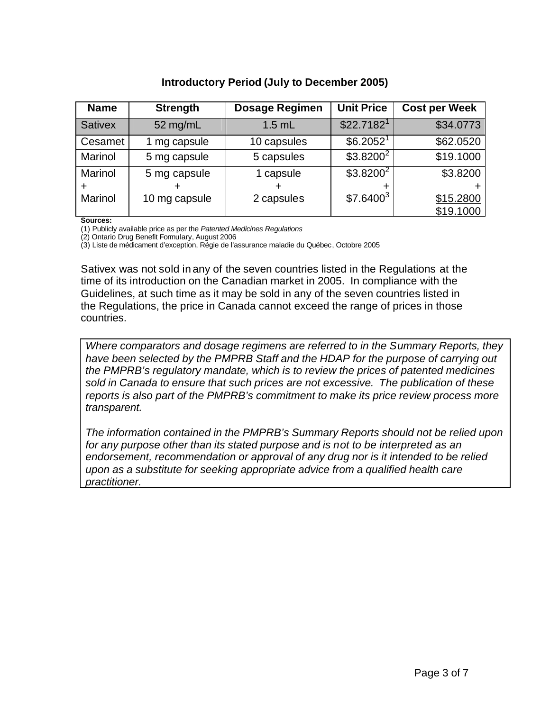### **Introductory Period (July to December 2005)**

| <b>Name</b>    | <b>Strength</b> | <b>Dosage Regimen</b> | <b>Unit Price</b>      | <b>Cost per Week</b> |
|----------------|-----------------|-----------------------|------------------------|----------------------|
| <b>Sativex</b> | 52 mg/mL        | $1.5$ mL              | \$22.7182 <sup>1</sup> | \$34.0773            |
| Cesamet        | mg capsule      | 10 capsules           | \$6.2052 <sup>1</sup>  | \$62.0520            |
| Marinol        | 5 mg capsule    | 5 capsules            | $$3.8200^{2}$          | \$19.1000            |
| Marinol        | 5 mg capsule    | 1 capsule             | $$3.8200^2$            | \$3.8200             |
|                |                 |                       |                        |                      |
| Marinol        | 10 mg capsule   | 2 capsules            | \$7.6400 <sup>3</sup>  | \$15.2800            |
|                |                 |                       |                        | \$19.1000            |

**Sources:** 

(1) Publicly available price as per the *Patented Medicines Regulations*

(2) Ontario Drug Benefit Formulary, August 2006

(3) Liste de médicament d'exception, Régie de l'assurance maladie du Québec, Octobre 2005

Sativex was not sold in any of the seven countries listed in the Regulations at the time of its introduction on the Canadian market in 2005. In compliance with the Guidelines, at such time as it may be sold in any of the seven countries listed in the Regulations, the price in Canada cannot exceed the range of prices in those countries.

*Where comparators and dosage regimens are referred to in the Summary Reports, they have been selected by the PMPRB Staff and the HDAP for the purpose of carrying out the PMPRB's regulatory mandate, which is to review the prices of patented medicines sold in Canada to ensure that such prices are not excessive. The publication of these reports is also part of the PMPRB's commitment to make its price review process more transparent.*

*The information contained in the PMPRB's Summary Reports should not be relied upon for any purpose other than its stated purpose and is not to be interpreted as an*  endorsement, recommendation or approval of any drug nor is it intended to be relied *upon as a substitute for seeking appropriate advice from a qualified health care practitioner.*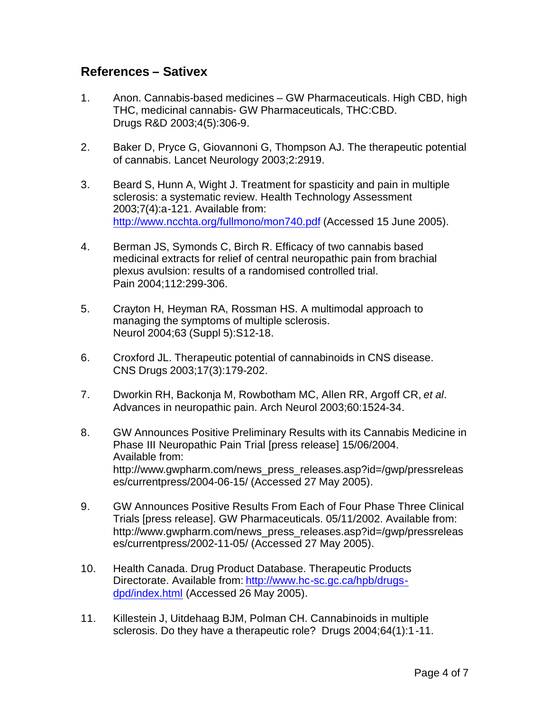## **References – Sativex**

- 1. Anon. Cannabis-based medicines GW Pharmaceuticals. High CBD, high THC, medicinal cannabis- GW Pharmaceuticals, THC:CBD. Drugs R&D 2003;4(5):306-9.
- 2. Baker D, Pryce G, Giovannoni G, Thompson AJ. The therapeutic potential of cannabis. Lancet Neurology 2003;2:2919.
- 3. Beard S, Hunn A, Wight J. Treatment for spasticity and pain in multiple sclerosis: a systematic review. Health Technology Assessment 2003;7(4):a-121. Available from: http://www.ncchta.org/fullmono/mon740.pdf (Accessed 15 June 2005).
- 4. Berman JS, Symonds C, Birch R. Efficacy of two cannabis based medicinal extracts for relief of central neuropathic pain from brachial plexus avulsion: results of a randomised controlled trial. Pain 2004;112:299-306.
- 5. Crayton H, Heyman RA, Rossman HS. A multimodal approach to managing the symptoms of multiple sclerosis. Neurol 2004;63 (Suppl 5):S12-18.
- 6. Croxford JL. Therapeutic potential of cannabinoids in CNS disease. CNS Drugs 2003;17(3):179-202.
- 7. Dworkin RH, Backonja M, Rowbotham MC, Allen RR, Argoff CR, *et al*. Advances in neuropathic pain. Arch Neurol 2003;60:1524-34.
- 8. GW Announces Positive Preliminary Results with its Cannabis Medicine in Phase III Neuropathic Pain Trial [press release] 15/06/2004. Available from: http://www.gwpharm.com/news\_press\_releases.asp?id=/gwp/pressreleas es/currentpress/2004-06-15/ (Accessed 27 May 2005).
- 9. GW Announces Positive Results From Each of Four Phase Three Clinical Trials [press release]. GW Pharmaceuticals. 05/11/2002. Available from: http://www.gwpharm.com/news\_press\_releases.asp?id=/gwp/pressreleas es/currentpress/2002-11-05/ (Accessed 27 May 2005).
- 10. Health Canada. Drug Product Database. Therapeutic Products Directorate. Available from: http://www.hc-sc.gc.ca/hpb/drugsdpd/index.html (Accessed 26 May 2005).
- 11. Killestein J, Uitdehaag BJM, Polman CH. Cannabinoids in multiple sclerosis. Do they have a therapeutic role? Drugs 2004;64(1):1-11.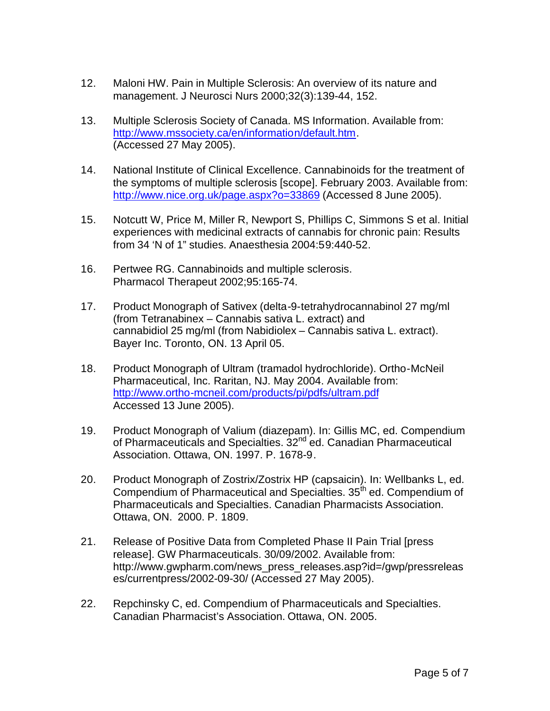- 12. Maloni HW. Pain in Multiple Sclerosis: An overview of its nature and management. J Neurosci Nurs 2000;32(3):139-44, 152.
- 13. Multiple Sclerosis Society of Canada. MS Information. Available from: http://www.mssociety.ca/en/information/default.htm. (Accessed 27 May 2005).
- 14. National Institute of Clinical Excellence. Cannabinoids for the treatment of the symptoms of multiple sclerosis [scope]. February 2003. Available from: http://www.nice.org.uk/page.aspx?o=33869 (Accessed 8 June 2005).
- 15. Notcutt W, Price M, Miller R, Newport S, Phillips C, Simmons S et al. Initial experiences with medicinal extracts of cannabis for chronic pain: Results from 34 'N of 1" studies. Anaesthesia 2004:59:440-52.
- 16. Pertwee RG. Cannabinoids and multiple sclerosis. Pharmacol Therapeut 2002;95:165-74.
- 17. Product Monograph of Sativex (delta-9-tetrahydrocannabinol 27 mg/ml (from Tetranabinex – Cannabis sativa L. extract) and cannabidiol 25 mg/ml (from Nabidiolex – Cannabis sativa L. extract). Bayer Inc. Toronto, ON. 13 April 05.
- 18. Product Monograph of Ultram (tramadol hydrochloride). Ortho-McNeil Pharmaceutical, Inc. Raritan, NJ. May 2004. Available from: http://www.ortho-mcneil.com/products/pi/pdfs/ultram.pdf Accessed 13 June 2005).
- 19. Product Monograph of Valium (diazepam). In: Gillis MC, ed. Compendium of Pharmaceuticals and Specialties. 32<sup>nd</sup> ed. Canadian Pharmaceutical Association. Ottawa, ON. 1997. P. 1678-9.
- 20. Product Monograph of Zostrix/Zostrix HP (capsaicin). In: Wellbanks L, ed. Compendium of Pharmaceutical and Specialties. 35<sup>th</sup> ed. Compendium of Pharmaceuticals and Specialties. Canadian Pharmacists Association. Ottawa, ON. 2000. P. 1809.
- 21. Release of Positive Data from Completed Phase II Pain Trial [press release]. GW Pharmaceuticals. 30/09/2002. Available from: http://www.gwpharm.com/news\_press\_releases.asp?id=/gwp/pressreleas es/currentpress/2002-09-30/ (Accessed 27 May 2005).
- 22. Repchinsky C, ed. Compendium of Pharmaceuticals and Specialties. Canadian Pharmacist's Association. Ottawa, ON. 2005.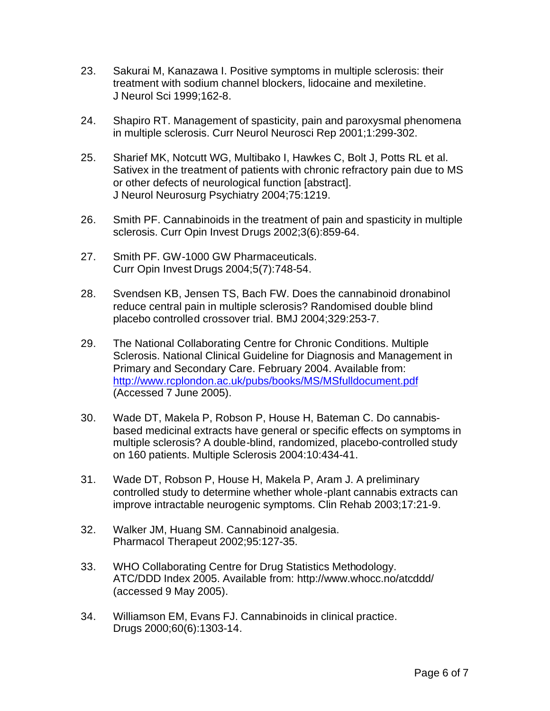- 23. Sakurai M, Kanazawa I. Positive symptoms in multiple sclerosis: their treatment with sodium channel blockers, lidocaine and mexiletine. J Neurol Sci 1999;162-8.
- 24. Shapiro RT. Management of spasticity, pain and paroxysmal phenomena in multiple sclerosis. Curr Neurol Neurosci Rep 2001;1:299-302.
- 25. Sharief MK, Notcutt WG, Multibako I, Hawkes C, Bolt J, Potts RL et al. Sativex in the treatment of patients with chronic refractory pain due to MS or other defects of neurological function [abstract]. J Neurol Neurosurg Psychiatry 2004;75:1219.
- 26. Smith PF. Cannabinoids in the treatment of pain and spasticity in multiple sclerosis. Curr Opin Invest Drugs 2002;3(6):859-64.
- 27. Smith PF. GW-1000 GW Pharmaceuticals. Curr Opin Invest Drugs 2004;5(7):748-54.
- 28. Svendsen KB, Jensen TS, Bach FW. Does the cannabinoid dronabinol reduce central pain in multiple sclerosis? Randomised double blind placebo controlled crossover trial. BMJ 2004;329:253-7.
- 29. The National Collaborating Centre for Chronic Conditions. Multiple Sclerosis. National Clinical Guideline for Diagnosis and Management in Primary and Secondary Care. February 2004. Available from: http://www.rcplondon.ac.uk/pubs/books/MS/MSfulldocument.pdf (Accessed 7 June 2005).
- 30. Wade DT, Makela P, Robson P, House H, Bateman C. Do cannabisbased medicinal extracts have general or specific effects on symptoms in multiple sclerosis? A double-blind, randomized, placebo-controlled study on 160 patients. Multiple Sclerosis 2004:10:434-41.
- 31. Wade DT, Robson P, House H, Makela P, Aram J. A preliminary controlled study to determine whether whole-plant cannabis extracts can improve intractable neurogenic symptoms. Clin Rehab 2003;17:21-9.
- 32. Walker JM, Huang SM. Cannabinoid analgesia. Pharmacol Therapeut 2002;95:127-35.
- 33. WHO Collaborating Centre for Drug Statistics Methodology. ATC/DDD Index 2005. Available from: http://www.whocc.no/atcddd/ (accessed 9 May 2005).
- 34. Williamson EM, Evans FJ. Cannabinoids in clinical practice. Drugs 2000;60(6):1303-14.